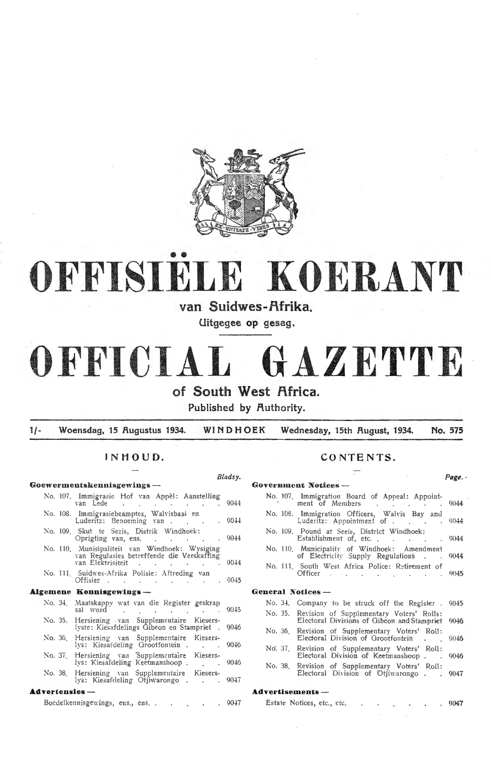

# •• **OFFISIELE KOERANT**

**van Suidwes-f\frika.** 

**Uitgegee op gesag.** 

# **OFFICIAL GAZETTE of South West f\frica.**

**Published by fluthority.** 

**1/- Woensdag, 15 Augustus 1934. WINDHOEK Wednesday, 15th August, 1934. No. 575** 

|                         |  | Goewermentskennisgewings —                                                                                                                                                                                                                                                        |        | <b>Government Notices --</b>                                                                            |  |  |  |  |  |
|-------------------------|--|-----------------------------------------------------------------------------------------------------------------------------------------------------------------------------------------------------------------------------------------------------------------------------------|--------|---------------------------------------------------------------------------------------------------------|--|--|--|--|--|
|                         |  | No. 107. Immigrasie Hof van Appèl: Aanstelling<br>van Lede 9044                                                                                                                                                                                                                   |        | No. 107. Immigration Board of Appeal: Appoint-<br>ment of Members 9044                                  |  |  |  |  |  |
|                         |  | No. 108. Immigrasiebeamptes, Walvisbaai en<br>Luderitz: Benoeming van                                                                                                                                                                                                             | . 9044 | No. 108. Immigration Officers, Walvis Bay and<br>Luderitz: Appointment of 9044                          |  |  |  |  |  |
|                         |  | No. 109. Skut te Seeis, Distrik Windhoek:<br>Oprigting van, ens. 9044                                                                                                                                                                                                             |        | No. 109. Pound at Seeis, District Windhoek:<br>Establishment of, etc., 9044                             |  |  |  |  |  |
|                         |  | No. 110. Munisipaliteit van Windhoek: Wysiging<br>van Regulasies betreffende die Verskaffing                                                                                                                                                                                      |        | No. 110. Municipality of Windhoek: Amendment<br>of Electricity Supply Regulations 9044                  |  |  |  |  |  |
|                         |  | van Elektrisiteit 9044<br>No. 111. Suidwes-Afrika Polisie: Aftreding van<br>Offisier 9045                                                                                                                                                                                         |        | No. 111. South West Africa Police: Retirement of<br>Officer 9045                                        |  |  |  |  |  |
| Algemene Kennisgewings- |  |                                                                                                                                                                                                                                                                                   |        | General Notices -                                                                                       |  |  |  |  |  |
|                         |  | No. 34. Maatskappy wat van die Register geskrap<br>sal word contract the contract of the sales of the same of the same of the same of the same of the same of the same of the same of the same of the same of the same of the same of the same of the same of the same of the sam |        | No. 34. Company to be struck off the Register. 9045<br>No. 35. Revision of Supplementary Voters' Rolls: |  |  |  |  |  |
| No. 35.                 |  | Hersiening van Supplementaire Kiesers-                                                                                                                                                                                                                                            |        | Electoral Divisions of Gibeon and Stampriet 9046                                                        |  |  |  |  |  |
|                         |  | lyste: Kiesafdelings Ĝibeon en Stampriet , 9046<br>No. 36. Hersiening van Supplementaire Kiesers-                                                                                                                                                                                 |        | No. 36. Revision of Supplementary Voters' Roll:<br>Electoral Division of Grootfontein 9046              |  |  |  |  |  |
| No. 37.                 |  | lys: Kiesardeling Grootfontein 9046<br>Hersiening van Supplementaire Kiesers-<br>lys: Kiesafdeling Keetmanshoop 9046                                                                                                                                                              |        | No. 37. Revision of Supplementary Voters' Roll:<br>Electoral Division of Keetmanshoop 9046              |  |  |  |  |  |
|                         |  | No. 38. Hersiening van Supplementaire Kiesers-<br>lys: Kiesardeling Orijiwarongo 9047                                                                                                                                                                                             |        | No. 38. Revision of Supplementary Voters' Roll:<br>Electoral Division of Otjiwarongo 9047               |  |  |  |  |  |
| <b>Advertensies</b> --  |  |                                                                                                                                                                                                                                                                                   |        | Advertisements -                                                                                        |  |  |  |  |  |
|                         |  |                                                                                                                                                                                                                                                                                   |        |                                                                                                         |  |  |  |  |  |

## **INHOUD. CONTENTS.**

|       | Bladsy.          |                                                                                                           | Page. . |
|-------|------------------|-----------------------------------------------------------------------------------------------------------|---------|
|       |                  | <b>Government Notices —</b>                                                                               |         |
| g     | 9044             | No. 107. Immigration Board of Appeal: Appoint-<br>ment of Members<br>and the control of the               | 9044    |
|       | -9044            | No. 108. Immigration Officers, Walvis Bay and<br>Luderitz: Appointment of .<br><b>Contract Contract</b>   | 9044    |
|       | -9044            | No. 109. Pound at Seeis, District Windhoek:<br>Establishment of, etc<br><b>Contract Contract Contract</b> | 9044    |
| ug ug |                  | No. 110. Municipality of Windhoek: Amendment<br>of Electricity Supply Regulations 9044                    |         |
|       | 9044             | No. 111. South West Africa Police: Retirement of<br>Officer                                               | 9045    |
|       | - 9045           |                                                                                                           |         |
|       |                  | General Notices -                                                                                         |         |
| C)    |                  | No. 34. Company to be struck off the Register.                                                            | 9045    |
|       | 90 <sub>45</sub> | No. 35.<br>Revision of Supplementary Voters' Rolls:<br>Electoral Divisions of Gibeon and Stampriet        | 9046    |
|       | 9046             | No. 36.<br>Revision of Supplementary Voters' Roll:<br>Electoral Division of Grootfontein.                 | 9046    |
|       | 9046             | No. 37. Revision of Supplementary Voters' Roll:<br>Electoral Division of Keetmanshoop.                    | 9046    |
|       | 9046             | Revision of Supplementary Voters' Roll:<br>No. 38.<br>Electoral Division of Otjiwarongo.                  | 9047    |
|       | 9047             |                                                                                                           |         |
|       |                  | Advertisements -                                                                                          |         |
|       | 9047             | Estate Notices, etc., etc.<br><b>Contract Contract Contract</b>                                           | 9047    |

Boedelkennisgewings, ens., ens. . . . . 9047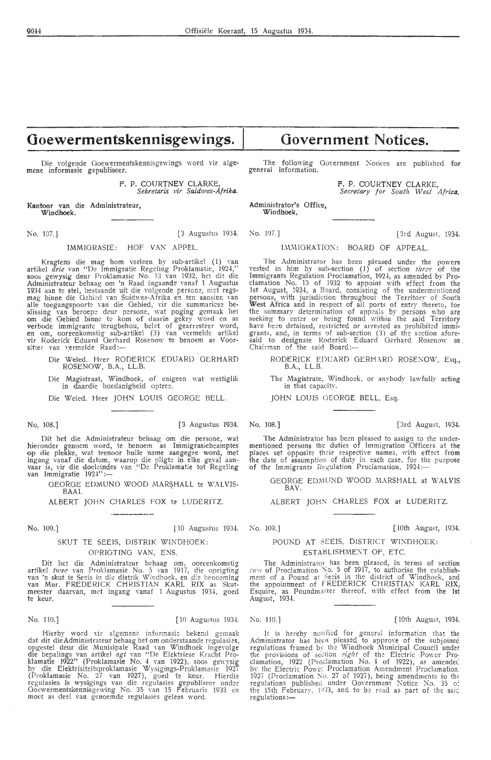## **Ooewermentskennisgewings.**

Die volgende Goewermentskennisgewings word vir algemene informasie gepubliseer.

> F. P. COURTNEY CLARKE, *Sekretaris vir Suidwes-Afrika.*

Kantoor van die Administrateur, **Windhoek.** 

No. 107.] [3 Augustus 1934.

#### IMMIGRASIE: HOF VAN APPEL.

Kragtens die mag hom verleen by sub-artikel (1) van artikel *drie* van "De Immigratie Regeling Proklamatie, 1924," soos gewysig deur Proklamasie No. 13 van 1932, het dit die Administrateur behaag om 'n Raad ingaande vanaf 1 Augustus 1934 aan te stel, bestaande uit die volgende persone, met regsmag binne die Gebied van Suidwes-Afrika en ten aansien van alle toegangspoorte van die Gebied, vir die summariese beslissing van beroepe deur persone, wat poging gemaak het om die Gebied binne te kom of daarin gekry word en as verbode immigrante terugbehou, belet of gearresteer word, en om, ooreenkcmstig sub-artikel (3) van vermelde artik el vir Roderick Eduard Gerhard Rosenow te benoem as Voor-<br>sitter van vermelde Raad:—

Die Weled. Heer RODERICK EDUARD GERHARD ROSENOW, B.A., LLB.

Die Magistraat, Windhoek, of enigeen wat wettiglik in daardie hoedanigheid optree.

Die Weled. Heer JOHN LOUIS GEORGE BELL.

No. 108.] [3 Augustus 1934. No. 108. J [3rd August, 193-l.

Dit het die Administrateur behaag om die persone, wat hieronder genoem word, te benoem as Immigrasiebeamptes<br>op die plekke, wat teenoor hulle name aangegee word, met ingang vanaf die datum, waarop die pligtc in elke geval aanvaar is, vir die doeleindes van "De Proklamatie tot Regeling<br>van Immigratie 1924":—

GEORGE EDMUND WOOD MARSHALL te WALVIS-BAAI.

ALBERT JOHN CHARLES FOX te LlJDERITZ.

No. 109.] [ 10 Augustus 1934.

## SKUT TE SEEIS, DISTRIK WINDHOEK:

OPRIGTING VAN, ENS.

Dit hct die Administrateur behaag om, ooreenkomstig artikel twee van Proklamasie No. 5 van 1917, die oprigting van 'n skut te Seeis in die distrik Windhoek, en die benoeming van Mnr. FREDERICK CHRISTIAN KARL RIX as Skutmeester daarvan, met ingang vanaf 1 Augustus 1934, goed te keur.

Hierby word vir algemene informasie bekend gemaak dat dit die Administrateur behaag het om onderstaande regulasies, opgestel deur die Munisipale Raad van Windhoek ingevolge die bepalings van artikel agt van "De Elektriese Kracht Proklamatie 1922" (Proklamasie No. 4 van 1922), soos gewysig by die Elektrisiteitsproklamasie Wysigings-Proklamasie 1927 (Proklamasie No.  $27$  van 1927), goed te keur. Hierdie regulasies is wysigings van die regulasies gepubliseer onder Goewermentskennisgewing No. 35 van 15 Februarie 1933 en<br>moet as deel van genoemde regulasies gelees word.

# **Government Notices.**

The following Government Notices are published for general information.

> F. P. COURTNEY CLARKE, *Secretary for Sou.th W est Africa.*

Administrator's Office, **Windhoek,** 

No. 107.] l 3rd August, 1934.

## IMMIGRATION: BOARD OF APPEAL.

The Administrator has been pleased under the powers vested in him by sub-section (1) of section *three* of the Immigrants Regulation Proclamation, 1924, as amended by Proclamation No. 13 of 1932 to appoint \\'ith effect from the 1st August, 1934, a Board, consisting of the undermentioned persons, with jurisdiction throughout the Territory of South West Africa and in respect of all ports of entry thereto, for the summary determination of appeals by persons who are seeking to enter or being found within the said Territory have been detained, restricted or arrested as prohibited immigrants, and, in terms of sub-section (3) of the section aforesaid to designate Roderick Eduard Gerhard Rosenow as Chairman of the said Board:-

RODERICK EDUARD GERHARD ROSENOW, Esq., B.A., LL.B.

The Magistrate, Windhoek, or anybody lawfully acting in that capacifr.

JOHN LOUIS GEORGE BELL, Esq.

The Administrator has been pleased to assign to the undermentioned persons the duties of Immigration Officers at the places set opposite their respective names, with effect from the date of assumption of duty in each case, for the purpose of the Immigrants Regulation Proclamation, 1924:--

GEORGE EDMUND WOOD MARSHALL at WALVIS BAY.

ALBERT JOHN CHARLES FOX at LUDERITZ.

No. 109.] [ 10th August, 1934.

#### POUND AT SEEIS, DISTRICT WINDHOEK: ESTABLISHMENT OF, ETC.

The Administrator has been pleased, in terms of section  $\ell$ 11<sup>to</sup> of Proclamation No. 5 of 1917, to authorise the establishment of a Pound at Secis in the district of Windhoek, and the appointment of FREDERICK CHRISTIAN KARL RIX, Esquire, as Poundmaster thereof, with effect from the 1st August, 1934.

No. 110.] [ 10th August, 1934. [ 10th August, 1934. [ 10th August, 1934.

It is hereby notified for general information that the Administrator has been pleased to approve of the subjoince regulations framed by the Windhoek Municipal Council under<br>the provisions of section *eight* of the Electric Power Proclamation, 1922 (Preclamation No. 4 of 1922), as amended by the Electric Power Proclamation Amendment Proclamation. 1927 (Proclamation No. 27 of 1927), being amendments to the<br>regulations published under Government Notice No. 35 of the 15th February,  $1933$ , and to be read as part of the said regulations:-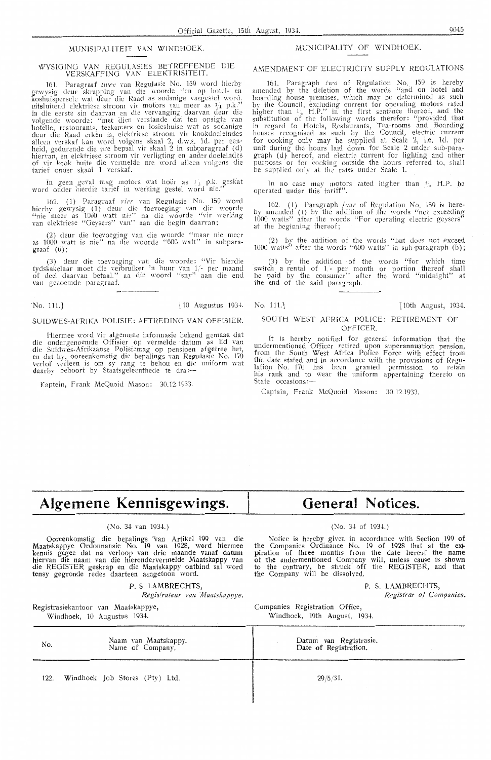#### MUNISIPALITEIT VAN WINDHOEK.

#### WYSIGING VAN REGULASIES BETREFFENDE DIE<br>VERSKAFFING VAN ELEKTRISITEIT. VERSKAFFINO VAN ELEKTRISITEIT.

161. Paragraaf *twee* van Regulasie No. 159 word hierby<br>gewysig deur skrapping van die woorde ''en op hotel- en koshuispersele wat deur die Raad as sodanige vasgestel word, uitsluitend elektriese stroom vir motors van meer as  $\frac{1}{4}$  p.k. " in die eerste sin daarvan en die vervanging daarvan deur die<br>volgende woorde: ''met dien verstande dat ten opsigte van hotelle, restourants, teekamers en losieshuise wat as sodanige deur die Raad erken is, elektriese stroom vir kookdoeleindes alleen verskaf kan word volgens skaal 2, d.w.s. 1d. per eenheid, gedurende die ure bepaal vir skaal 2 in subparagraaf (d) hiervan, en elektriese stroom vir verligting en ander-doeleindes<br>of vir kook buite die vermelde ure word alleen volgens die tarief onder skaal 1 verskaf.

In geen geval mag motors wat hoër as 11 p.k. geskat word onder hierdie tarief in werking gestel word nie.''

162. (1) Paragraaf vier van Regulasie No. 159 word hierby gewysig (1) deur die toevoeging van die woorde "nie meer as 1000 watt nie" na die woorde "vir werking van elektriese "Geysers" van" aan die begin daarvan:

(2) deur die toevoeging van die woorde "maar nie meer as 1000 watt is nie'' na die woorde ''600 watt'' in subparagraaf (6);

(3) deur die toevoeging van die woorde: "Vir hierdie tydskakelaar moet die verbruiker 'n huur van 1/- per maand of deel daarvan betaal." na die woord "sny" aan die end van genoemde paragraaf.

No. 111.] [10 Augustus 193+. No. 111.] [ 10th August, 1934.

#### SUIDWES-AFRIKA POLISIE: AFTREDING VAN OFFISIER.

Hiermee word vir algemene informasie bekend gemaak dat die ondergenoemde Offisier op vermelde datum as lid van die Suidwes-Afrikaanse Polisiemag op pensioen afgetree het, en dat hy, ooreenkomstig die bepalings van Regulasie No. 170 verlof verleen is om sy rang te behou en die uniform wat daarby behoort by Staatsgeleenthede te dra :--

Kaptein, Frank McQuoid Mason: 30.12.1933.

#### MUNICIPALITY OF WINDHOEK.

#### AMENDMENT OF ELECTRICITY SUPPLY REGULATIONS

161. Paragraph two of Regulation No. 159 is hereby amended by the deletion of the words "and on hotel and boarding house premises, which may be determined as such by the Council, excluding current for operating motors rated higher than  $1 + H.P.'$  in the first sentence thereof, and the substitution of the following words therefor: "provided that in regard to Hotels, Restaurants, Tea-rooms and Boarding houses recognised as such by the Council, electric current for cooking only may be supplied at Scale 2, i.e. 1d. per<br>unit during the hours laid down for Scale 2 under sub-paragraph (d) hereof, and electric current for lighting and other purposes or for cooking outside the hours referred to, shall be supplied only at the rates under Scale 1.

In no case may motors rated higher than  $\mathcal{H}_4$  H.P. be operated under this tariff".

162. ( 1) Paragraph *four* of Regulation No. 159 is hereby amended (1) by the addition of the words "not exceeding<br>1000 watts" after the words "For operating electric geysers" at the beginning thereof;

(2) by the addition of the \Vords "but does not exceed 1000 watts" after the words "600 watts" in sub-paragraph  $(b)$ ;

(3) by the addition of the words "for which time switch a rental of  $1$ - per month or portion thereof shall be paid by the consumer" after the word "midnight" at the end of the said paragraph.

#### SOUTH WEST AFRICA POLICE: RETIREMENT OF **OFFICER**

It is hereby notified for general information that the und ermentioned Officer retired upon superannuation pension, from the South West Africa Police Force with effect from the date stated and in accordance with the provisions of Regulation No. 170 has been granted permission to retain his rank and to wear the uniform appertaining thereto on State occasions:-

Captain, Frank McQuoid Mason: 30.12.1933.

# **Algemene Kennisgewings.**

### (No. 34 van 1934.)

Oore**e**nkomstig die bepalings van Artikel 199 van di**e** Maatskappye Ordonnansie No. 19 van 1928, word hiermee kennis gegee dat na verloop van drie maande vanaf datum hiervan die naam van die hierondervermelde Maatskappy van die REGISTER geskrap en die Maatskappy ontbind sal word tensy gegronde redes daarteen aangetoon word.

> Naam van Maatskappy*.* Name of Company.

P. S. LAMBRECHTS,

*Registrateur van Maatskappye.* 

Registrasiekantoor van Maatskappye, \X/indhoek, 10 Augustus 1934.

No.

## **General Notices.**

#### (No. 3+ of 193+.)

Notice is hereby given in accordance with Section 199 of the Companies Ordinance No. 19 of 1928 that at the extpiration of three months from the date hereof the name ot the undermentioned Company will, unless cause is shown to the contrary, be struck off the REGISTER, and that the Company will be dissolved.

P. S. LAMBRECHTS,

*Registrar of Companies.* 

Companies Registration Office, Windhoek, 10th August, 1934.

Datum van Registrasie. Date of Registration.

122. Windhoek Job Stores (Pty) Ltd.  $29/5/31$ .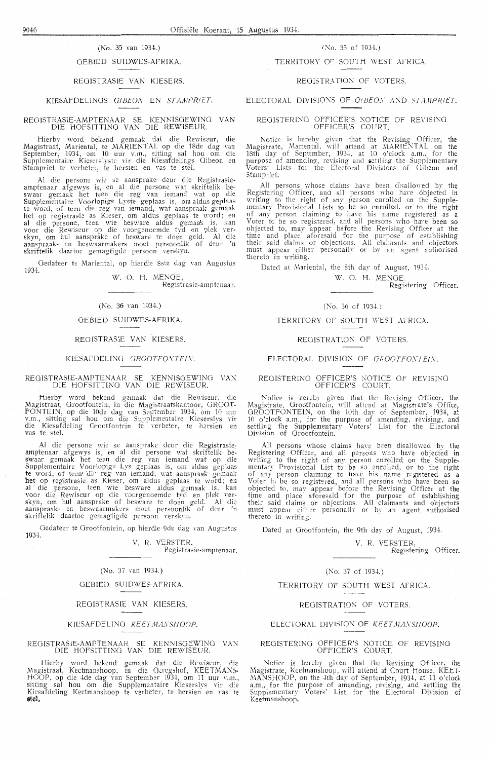## OEBIED SUIDWES-AFRIKA.

REOISTRASIE VAN KIESERS.

### KIESAFDELINGS GIBEON EN STAMPRIET.

REOJSTRASIE-AMPTENAAR SE KENNlSOEWINO VAN DIE HOFS!TTINO VAN DIE REWISEUR.

Hierby word bekend gemaak dat die Rewiseur, die Magistraat, Mariental, te MARIENTAL op die 18de dag van September, 1934, om 10 uur v.m., sitting sal hou om die Supplementaire Kieserslyste vir die Kiesafdelings Oibeon en Stampriet te verbeter, te hersien en vas te stel.

Al die persone wie se aansprake deur die Registrasieamptenaar afgewys is, en al die persone wat skriftelik beswaar gemaak het teen die reg van iemand wat op die Supplementaire Voorlopige Lyste geplaas is, om aldus geplaas te word, of teen die reg van iemand, wat aanspraak gemaak het op registrasie as Kieser, om aldus geplaas te word; en al die persone, teen wie besware aldus gemaak is, kan voor die Rewiseur op die voorgenoemde tyd en plek verskyn, om hul aansprake of besware te doen geld. Al die aanspraak- en beswaarmakers moet persoonlik of deur 'n skriftelik daartoe gemagtigde persoon Yerskyn.

Gedateer te Mariental, op hierdie 8ste dag van Augustus 1934.

**W.** 0. **H.** MENGE.

·Registrasie-amptenaar.

#### (No. 36 van 1934.)

#### GEBIED SUIDWES-AFRIKA.

#### REOISTRASJE VAN KIESERS.

#### KIESAFDELING GROOTFONTEIN.

#### REGISTRASIE-AMPTENAAR SE KENNISGEWING VAN DIE HOFSITTINO VAN DIE REWISEUR.

Hierby word bekend gemaak dat die Rewiseur, die Magistraat, Grootfontein, in die Magistraatskantoor, GROOT-FONTEIN, op die 10de dag van September 1934, om 10 uur v.m., sitting sal hou om die Supplementaire Kieserslys vir die Kiesafdeling Grootfontein te verbeter, te hersien en vas te stel.

Al die persone wie se aansprake deur die Registrasieamptenaar afgewys is, en al die persone wat skriftelik beswaar gemaak het teen die reg van iemand wat op die Supplementaire Voorlopige Lys geplaas is, om aldus geplaas te word, of teen' die reg van iemand, wat aanspraak gemaak het op registrasie as Kieser, om aldus geplaas te word; en al die persone, teen wie besware aldus gemaak is, kan voor die Rewiseur op die voorgenoemde tyd en plek verskyn, om hul aansprake of besware te doen geld. Al die aanspraak- en beswaarmakers moet persoonlik of deur 'n skriftelik daartoe gemagtigde persoon verskyn.

Gedateer te Grootfontein, op hierdie 9de dag van Augustus 1934.

V. R. VERSTER. Registrasie-amptenaar.

#### $(No. 37$  van 1934.)

#### OEBIED SUIDWES-AFRIKA.

REOISTRASIE VAN KIESERS.

KIESAFDELING *KEETMANSHOOP*.

#### REGISTRASIE-AMPTENAAR SE KENNISGEWING VAN DIE HOfSITTJNG VAN DIE REWISEUR.

Hierby word bekend gemaak dat die Rewiseur, die Magistraat, Keetmanshoop, in die Geregshof, KEETMANS-HOOP, op die 4de dag van September 1934, om 11 uur v.m., sitting sal hou om die Supplementaire Kieserslys vir die Kiesafdeling Keetmanshoop te verbeter, te hersien en vas te **stel,** 

#### (No. 35 van 1934.)  $\qquad \qquad$  (No. 35 of 1934.)

#### TERRITORY OF SOUTH WEST AFRiCA.

#### REGISTRATION OF VOTERS.

#### ELECTORAL DIVISIONS OF GIBEON AND STAMPRIET.

#### REGISTERING OFFICER'S NOTICE OF REVISING OFFICER'S COURT.

Notice is hereby given that the Revising Officer, the Magistrate, Mariental, will attend at MARIENTAL on the 18th day of September, 1934, at 10 o'clock a.m., for the purpose of amending, revising and settling the Supplementary Voters' Lists for the Electoral Divisions of Gibeon and Stampriet.

All persons whose claims have been disallowed by the Registering Officer, and all persons who have objected in writing to the right of any person enrolled on the Supplementary Provisional Lists to be so enrolled, or to the right of any person claiming to have his name registered as a Voter to be so registered, and all persons who have been so objected to, may appear before the ReYising Officer at the time and place aforesaid for the purpose of establishing their said claims or objections. All claimants and objectors must appear either personally or by an agent authorised thereto in writing.

Dated at Mariental, the 8th day of August, 1934.

**W. O. H. MENGE,** Registering Officer.

#### (No. 36 of 1934.)

TERRITORY OF SOUTH WEST AFRICA.

#### REGISTRATION OF VOTERS.

#### ELECTORAL DIVISION OF GROOTFONIEIN.

#### REGISTERING OFFICER'S NOTICE OF REVISING OFFICER'S COURT.

Notice is hereby given that the Revising Officer, the Magistrate, Grootfontein, will attend at Magistrate's Office, GROOTFONTEIN, on the 10th day of September, 1934, at 10 o'clock a.m., for the purpose of amending, revising, and settling the Supplementary Voters' List for the Electoral Division of Grootfontein.

All persons whose claims have been disallowed by the Registering- Officer, and all [krsons \Yho have objected **in**  writing to the right of any person enrolled on the Supplementary Provisional List to be so enrolled, or to the right of any person claiming to have his name registered as a Voter to be so registered, and all persons who have been so objected to, may appear before the Revising Officer at the time and place aforesaid for the purpose of establishing their said claims or objections. All claimants and objectors must appear either personally or by an agent authorised thereto in writing.

Dated at Grootfontein, the 9th day of August, 1934.

V. R. VERSTER, Registering Officer.

#### (No. 37 of 1934.)

TERRITORY OF SOUTH WEST AFRICA.

#### REGISTRATION OF VOTERS.

#### ELECTORAL DIVISION OF *KEETMANSHOOP*.

#### REGISTERING OFFICER'S NOTICE OF REVISING OFFICER'S COURT.

Notice is hereby given that the Revising Officer, the Magistrate, Keetmanshoop, will attend at Court House, KEET-MANSHOOP, on the 4th day of September, 1934, at 11 o'clock a.m., for the purpose of amending, revising, and settling the Supplementary Voters' List for the Electoral Division of Keetmanshoop.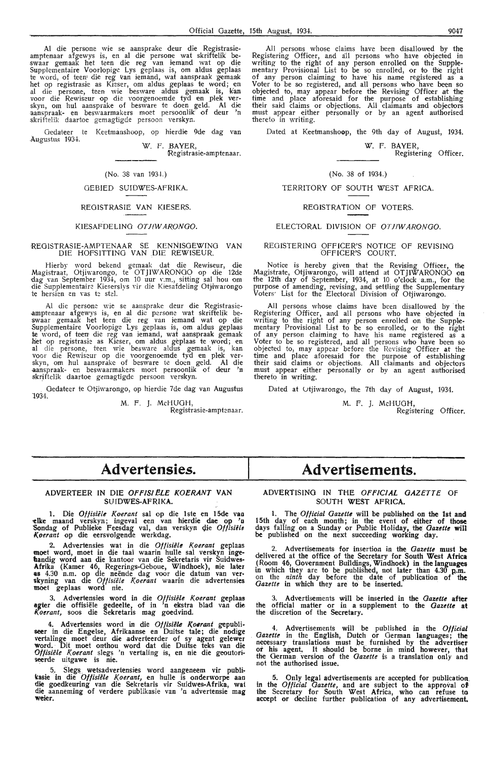Al die persone wie se aansprake deur die Registrasieamptenaar afgewys is, en al die persone wat skriftelik be-<br>swaar gemaak het teen die reg van iemand wat op die Supplementaire Voorlopige Lys geplaas is, om aldus geplaas te word, of teen die reg van iemand, wat aanspraak gemaak het op registrasie as Kieser, om aldus geplaas te word; en<br>al die persone, teen wie besware aldus gemaak is, kan<br>voor die Rewiseur op die voorgenoemde tyd en plek ver-<br>skyn, om hul aansprake of besware te doen geld. Al die skriftelik daartoe gemagtigde persoon verskyn.

Gedateer te Augustus 1934. Keetmanshoop, op hierdie 9de dag van

**W.** F. **BAYER,**  Registrasie-amptenaar.

#### (No. 38 van 1934.)

#### GEBIED SUIDWES-AFRIKA.

#### REGISTRASIE VAN KIESERS.

#### KIESAFDELING OT JIW ARONGO.

#### REOISTRASIE-AMPTENAAR SE KENNISGEWING VAN DIE HOFSITTING VAN DIE REWISEUR.

Hierby word bekend gemaak dat die Rewiseur, die Magistraat, Otjiwarongo, te OTJIWARONGO op die 12de dag van September 1934, om 10 uur v.m., sitting sal hou om<br>die Supplementaire Kieserslys vir die Kiesafdeling Otjiwarongo te hersien en vas te stel.

Al die persone wie se aansprake deur die Registrasie amptenaar afgewys is, en al die persone wat skriftelik be-<br>swaar gemaak het teen die reg van iemand wat op die Supplementaire Voorlopige Lys geplaas is, om aldus geplaas te word, of teen die reg van iemand, wat aanspraak gemaak het op registrasie as Kieser, om aldus geplaas te word; en al die persone, teen wie besware aldus gemaak is, kan voor die Rewiseur op die voorgenoemde tyd en plek ver- skyn, om hul aansprake of besware te doen geld. Al die -aanspraak- en beswaarmakers moet persoonlik of deur 'n skriftelik daartoe gcmagtigde persoon verskyn.

Gedateer te Otjiwarongo, op hierdie 7de dag van Augustus 1934.

M. F. J. McHUOH, Registrasie-amptenaar.

All persons whose claims have been disallowed by the Registering Officer, and all persons who have objected in writing to the right of any person enrolled on the Supplementary Provisional List to be so enrolled, or to the right of any person claiming to have his name registered as a Voter to be so registered, and all persons who have been so<br>objected to, may appear before the Revising Officer at the time and place aforesaid for the purpose of establishing their said claims or objections. All claimants and objectors must appear either personally or by an agent authorised thereto in writing.

Dated at Keetmanshoop, the 9th day of August, 1934.

W. F. BAYER, Registering Officer.

## (No. 38 of 1934.)

#### TERRITORY OF SOUTH WEST AFRICA.

#### REGISTRATION OF VOTERS.

#### ELECTORAL DIVISION OF OTJIWARONGO.

#### REGISTERING OFFICER'S NOTICE OF REVISING OFFICER'S COURT.

Notice is hereby given that the Revising Officer, the Magistrate, Otjiwarongo, will attend at OTJIWARONOO on the 12th day of September, 1934, at 10 o'clock a;m., for the purpose of amending, revising, and settling the Supplementary Voters' List for the Electoral Division of Otjiwarongo.

All persons whose claims have been disallowed by the Registering Officer, and all persons who have objected in<br>writing to the right of any person enrolled on the Supplementary Provisional List *to* be so enrolled, or to the· right of any person claiming to have his name registered as a<br>Voter to be so registered, and all persons who have been so<br>objected to, may appear before the Revising Officer at the time and place aforesaid for the purpose of establishing their said claims or objections. All claimants and objectors must appear either personally or by an agent authorised thereto in writing.

Dated at Otjiwarongo, the 7th day of August, 1934.

M. F. *].* McHUOH, Registering Officer.

## Advertensies.

#### **ADVERTEER IN DIE OFFISIELE KOERANT VAN SUIDWES-AFRIKA.**

1. Die *Olfisiele Koerant* sal op die lste en 15de vao **-clke** maand verskyn; ingeval een van hierdie dae op 'o Sondag of Publieke Feesdag val, dan verskyn die Offisiële *l(oerant* op die eersvolgende werkdag.

2. Advertensies wat in die Offisiële Koerant geplaas moet word, moet in die taal waarin hulle sal verskyn ingebandig word aan die kantoor van die Sekretaris vir Suidwes-**Afrika** (Kamer 46, Regerings-Geboue, Windhoek), nie later **es** 4.30 n.m. op die neende dag voor die datum van ver- skyning van die *Oftisiele K.oerant* waarin die advertensies moet geplaas word nie.

3. Advertensies word in die Offisiële Koerant geplaas agter die offisiële gedeelte, of in 'n ekstra blad van die *K.oerant,* soos die Sekretaris mag goedvind.

4. Advertensies word in die Offisiële Koerant gepubli-<br>seer in die Engelse, Afrikaanse en Duitse tale; die nodige<br>vertalinge moet deur die adverteerder of sy agent gelewer **word.** Dit moet onthou word dat die Duitse teks van die *Oflisiele Koerant* slegs 'n vertaling is, en nie die geoutoriseerde uitgawe is nie.

5. Slegs. wetsadvertensies word aangeneem vir publi**kasie** in die *Olfisiele K.oerant,* en hulle is onderworpe aan die goedkeuring van die Sekretaris vir Suidwes-Afrika, wat die aanneming of verdere publikasie van 'n advertensie mag **Weier.** 

## **Advertisements.**

#### ADVERTISING IN THE *OFFICIAL OAZETTE* Of SOUTH WEST AFRICA.

1. The *Official Oazette* will be published on the 1st and 15th day of each month; in the event of either of those days falling on a Sunday or Public Holiday, the *Oazette* **will**  be published on the next succeeding working day.

2. Advertisements for insertion in the *Oazette* must be delivered at the office of the Secretary for South West **Africa**  (Room 46, Government Buildings,Windhoek) in the languages in which they are to be published, not later than 4.30 p.m. on the *ninth* day before the date . of publication of the *Gazette* in which they are to be inserted.

3. Advertisements will be inserted in the *Gazette* **after**  the official matter or in a supplement to the *Gazette* **at**  the discretion of the Secretary.

4. Advertisements will be published in the *Official Gazette* in the English, Dutch or German languages; the necessary translations must be furnished by the advertiser or his agent, It should be borne in mind however, that the German version of the *Gazette* is a translation only and not the authorised issue.

5. Only legal advertisements are accepted for publication in the *Official Gazette,* and are subject to the approval **of**  the Secretary for South West Africa, who can refuse to accept or decline further publication of any advertisement.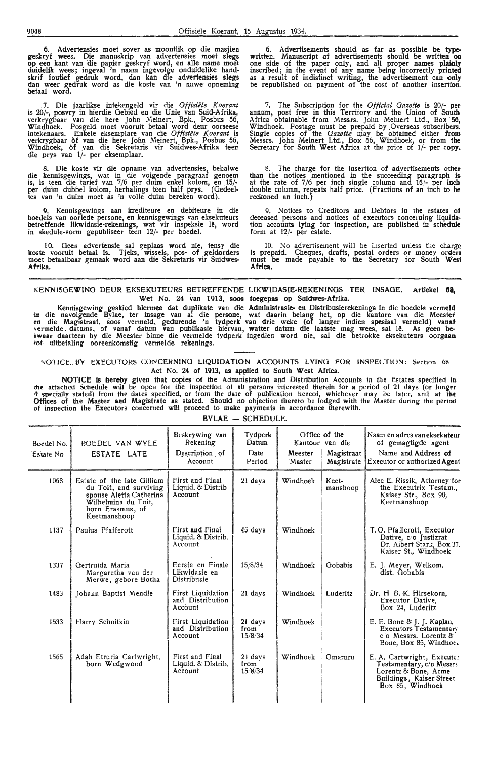6. Advertensies moet sover as moontlik op die masjien geskryf wees. Die manuskrip van advertensies moet slegs op een kant van die papier geskryf word, en alle name moet duidelik wees; ingeval 'n naam ingevolge onduidelike handskrif foutief gedruk word, dan kan die advertensies slegs dan weer gedruk word as die koste van 'n nuwe· opneming betaal word.

7. Die jaarlikse intekengeld vir die *Otfisiele Koerant*  is 20/-, posvry in hierdie Gebied en die Unie van Suid-Afrika, verkrygbaar van die here John Meinert, Bpk., Posbus 56, Windhoek. Posgeld moet vooruit betaal word deur oorseese intekenaars. Enkele eksemplare van die *Otfisiele l(oerant* is verkrygbaar of van die here John Meinert, Bpk., Posbus 56, Windhoek, of .van die Sekretaris vir Suidwes-Afrika teen die prys van 1/- per eksemplaar.

8. Die koste vir die opname van advertensies, behalwe die kennisgewings, wat in die volgende paragraaf genoem is, is teen die tarief van 7/6 per duim enkel kolom, en 15/ per duim dubbel kolom, herhalings teen half prys. (Gedeelies van 'n duim moet as 'n volle duim bereken word}.

Kennisgewings aan krediteure en debiteure in die boedels van oorlede persone, en kennisgewings van eksekuteurs betreffende likwidasie-rekenings, wat vir inspeksie lê, word in skedule-vorm gepubliseer teen 12/- per boedel.

10. Geen advertensie sal geplaas word nie, tensy die koste vooruit betaal is. Tjeks, wissels, pos- of geldorders moet betaalbaar gemaak word aan die Sekretaris vir Suidwes-**Afrika.** 

6. Advertisements should as far as possible be **type**written. Manuscript of advertisements should be written **on** one side of the paper only, and all proper names **plainly**  inscribed; in the event of any name being incorrectly printed as a result of indistinct writing, the advertisement can only be republished on payment of the cost of another insertion.

7. The Subscription for the *Official Gazette* is 20/- **per**  annum, post free in this Territory and the Union of South Africa obtainable from Messrs. John Meinert Ltd., Box 56, Windhoek. Postage must **be** prepaid by ,Overseas subscribers. Single copies of the *Gazette* may be obtained either **from**  Messrs. John Meinert Ltd., Box 56, Windhoek, or from **the**  Secretary for South West Africa at the price of 1/- per copy.

8. The charge for the insertion of advertisements other than the notices mentioned in the succeeding paragraph **is**  at the rate of 7/6 per inch single column and 15/- per inch double column, repeats half price. (Fractions of an inch to be reckoned an inch.)

9. Notices to Creditors and Debtors in the estates **of**  deceased persons and notices of executors concerning liquidation accounts lying for inspection, are published in schedule form at 12/- per estate.

10. No advertisement will be inserted unless the charge is prepaid. Cheques, drafts, postal orders or money orders must be made payable to the Secretary for South **West Africa.** 

#### KENN15GEWINO DEUR EKSEKUTEURS BETREFFENDE LIKWIDASIE-REKENINGS TER INSAOE. Artiekel **08,**  Wet No. 24 van 1913, **SOOS toegepas** op Suidwes-Afrika.

Kennisgewing geskied hiermee dat durlikate van die Administrasie- en Distribusierekenings in die boedels vermeld In die navolgende Bylae, ter insage van al die persone, wat daarin belang het, op die kantore van die Meester en die Magistraat, soos vermeld, gedurende 'n tydperk van drie weke (of langer indien spesiaal vermeld} vanaf vennelde. datums, of vanaf datum van publikasie hiervan, watter datum die laatste mag wees, sal 1~. As geen **be· swaar** daarteen by die Meester binne die vermelde tydperk ingedien word nie, sal die betrokke eksekuteurs oorgaao tot uitbetaling ooreenkomstig vermelde rekenings.

#### NOTICE. BY EXECUTORS CONCERNING LIQUIDATION ACCOUNTS LYING FOR INSPECTION: Section 68 Act No. **24** of 1913, as applied to South West Africa.

NOTICE is hereby given that copies of the Administration and Distribution Accounts in the Estates specified in the attached Schedule will be open for the inspection of all persons interested therein for a period of 21 days (or longer<br>\* specially stated) from the dates specified, or from the date of publication hereof, whichever may Offices of the Master and Magistrate as stated. Should no objection thereto be lodged with the Master during the period of inspection the Executors concerned will proceed to make payments in accordance therewith.

| Boedel No.<br>Estate No. | BOEDEL VAN WYLE<br>ESTATE LATE                                                                                                             | Beskrywing van<br>Rekening<br>Description of<br>Account | Tydperk<br>Datum<br>Date<br>Period | Meester<br>Master | Office of the<br>Kantoor van die<br>Magistraat<br>Magistrate | Naam en adres van eksekuteur<br>of gemagtigde agent<br>Name and Address of<br>Executor or authorized Agent                     |
|--------------------------|--------------------------------------------------------------------------------------------------------------------------------------------|---------------------------------------------------------|------------------------------------|-------------------|--------------------------------------------------------------|--------------------------------------------------------------------------------------------------------------------------------|
| 1068                     | Estate of the late Gilliam<br>du Toit, and surviving<br>spouse Aletta Catherina<br>Wilhelmina du Toit,<br>born Erasmus, of<br>Keetmanshoop | First and Final<br>Liquid. & Distrib<br>Account         | $21$ days                          | Windhoek          | Keet-<br>manshoop                                            | Alec E. Rissik, Attorney for<br>the Executrix Testam.,<br>Kaiser Str., Box 90,<br>Keetmanshoop                                 |
| 1137                     | Paulus Pfafferott                                                                                                                          | First and Final<br>Liquid. & Distrib.<br>Account        | 45 days                            | Windhoek          |                                                              | T.O. Pfafferott, Executor<br>Dative, c/o Justizrat<br>Dr. Albert Stark, Box 37.<br>Kaiser St., Windhoek                        |
| 1337                     | Gertruida Maria<br>Margaretha van der<br>Merwe, gebore Botha                                                                               | Eerste en Finale<br>Likwidasie en<br>Distribusie        | 15/8/34                            | Windhoek          | Gobabis                                                      | E. J. Meyer, Welkom,<br>dist. Gobabis                                                                                          |
| 1483                     | Johann Baptist Mendle                                                                                                                      | First Liquidation<br>and Distribution<br>Account        | 21 days                            | Windhoek          | Luderitz                                                     | Dr. H B. K. Hirsekorn,<br>Executor Dative,<br>Box 24, Luderitz                                                                 |
| 1533                     | Harry Schnitkin                                                                                                                            | First Liquidation<br>and Distribution<br>Account        | 21 days<br>from<br>15/8/34         | Windhoek          |                                                              | E. E. Bone & J. J. Kaplan,<br><b>Executors Testamentary</b><br>c/o Messrs. Lorentz &<br>Bone, Box 85, Windhoe.                 |
| 1565                     | Adah Etruria Cartwright,<br>born Wedgwood                                                                                                  | First and Final<br>Liquid. & Distrib.<br>Account        | 21 days<br>from<br>15/8/34         | Windhoek          | Omaruru                                                      | E. A. Cartwright, Executor<br>Testamentary, c/o Messrs<br>Lorentz & Bone, Acme<br>Buildings, Kaiser Street<br>Box 85, Windhoek |

#### BYLAE - SCHEDULE.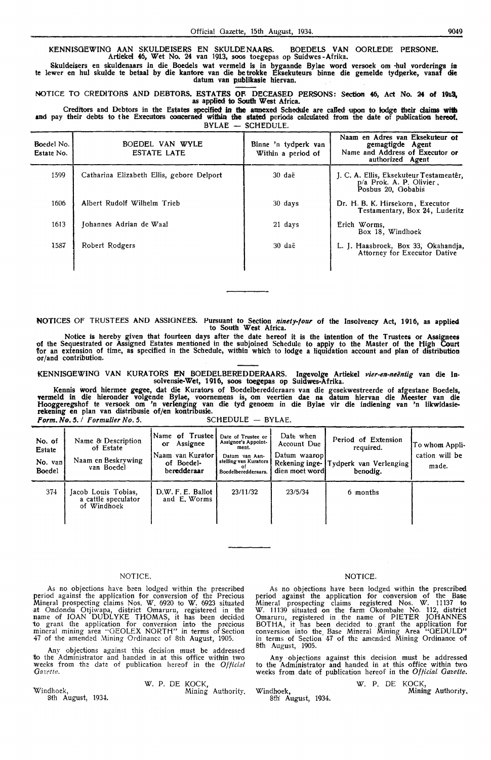KENNISGEWING AAN SKULDEISERS EN SKULDENAARS. BOEDELS VAN OORLEDE PERSONE. Artiekcl 46, Wet No. 24 van 1913, soos toegepas op Suidwes -Afrika.

~kuldeisers en skuldenaars in die Boedels wat vermeld is in bygaande Bylae word versock om •hul vorderings **in**  te lewer en hul skulde te betaal by die kantore van die betrokke Eksekuteurs binne die gemelde tydperke, vanaf die datum van publikasie hiervan.

NOTICE TO CREDITORS AND DEBTORS. ESTATES OF. DECEASED PERSONS: Section **46,** Act No. **24 of 1913,** as applied *to* South West Africa.

Creditors and Debtors in the Estates specified in the annexed Schedule are cafled upon to lodge their claims with **and** pay their debts to the Executors concerned within **the stated** periods calculated from the date of publication **hereof,**  BYLAE — SCHEDULE.

| Boedel No.<br>Estate No. | BOEDEL VAN WYLE<br><b>ESTATE LATE</b>     | Binne 'n tydperk van<br>Within a period of | Naam en Adres van Eksekuteur of<br>gemagtigde Agent<br>Name and Address of Executor or<br>authorized Agent |
|--------------------------|-------------------------------------------|--------------------------------------------|------------------------------------------------------------------------------------------------------------|
| 1599                     | Catharina Elizabeth Ellis, gebore Delport | $30da$ ë                                   | J. C. A. Ellis, Eksekuteur Testamentêr,<br>p/a Prok. A. P. Olivier,<br>Posbus 20, Gobabis                  |
| 1606                     | Albert Rudolf Wilhelm Trieb               | 30 days                                    | Dr. H. B. K. Hirsekorn, Executor<br>Testamentary, Box 24, Luderitz                                         |
| 1613                     | Johannes Adrian de Waal                   | 21 days                                    | Erich Worms.<br>Box 18, Windhoek                                                                           |
| 1587                     | Robert Rodgers                            | 30 daë                                     | L. J. Haasbroek, Box 33, Okahandja,<br>Attorney for Executor Dative                                        |

**NOTICES** Of TRUSTEES **AND ASSIGNEES. Pursuant to Section ninety-four of the Insolvency Act, 1916, as applied to South West Africa.** 

Notice is hereby given that fourteen days after the date hereof it is the intention of the Trustees or Assignees of the Sequestrated or Assigned Estates mentioned in the subjoined Schedule to apply to the Master of the High Court for an extension of time, as specified in the Schedule, within which to lodge a liquidation account and plan of distribution or/and contribution.

KENNISOEWINO VAN KURATORS EN BOEDELBEREDDERAARS. Ingevolge Artiekel *vier-en-neentig* van die In• solvensie-Wet, 1916, soos toegepas op Suidwes•Afrika.

Kennis word hiermee gegee, dat die Kurators of Boedelberedderaars van die gesekwestreerde of afgestane Boedels, vermeld in die hieronder volgende Bylae, voornemens is, om veertien dae na datum hiervan die Meester van die Hooggercgshof te versoek om 'n verlenging van die tyd genoem in die Bylae vir die indiening van 'n likwidasie**rekening en** plan van distribusie of/en kontribusie. *Form. No. 5. <i>I* Formulier No. 5. SCHEDULE - BYLAE.

| No. of<br>Estate<br>No. van<br><b>Boedel</b> | Name & Description<br>of Estate<br>Naam en Beskrywing<br>van Boedel | Name of Trustee!<br>Assignee<br><b>or</b><br>Naam van Kurator<br>of Boedel-<br>beredderaar | Date of Trustee or<br>Assignee's Appoint-<br>ment.<br>Datum van Aan-<br>stelling van Kurators<br>Boedelberedderaars. | Date when<br>Account Due<br>Datum waaropl<br>Rekening inge-<br>dien moet wordt | Period of Extension<br>required.<br>Tydperk van Verlenging<br>benodig. | To whom Appli-<br>cation will be<br>made. |
|----------------------------------------------|---------------------------------------------------------------------|--------------------------------------------------------------------------------------------|----------------------------------------------------------------------------------------------------------------------|--------------------------------------------------------------------------------|------------------------------------------------------------------------|-------------------------------------------|
| 374                                          | Jacob Louis Tobias,<br>a cattle speculator<br>of Windhoek           | D.W. F. E. Ballot<br>and E. Worms                                                          | 23/11/32                                                                                                             | 23/5/34                                                                        | 6 months                                                               |                                           |

#### NOTICE.

As no objections have been lodged within the prescribed period against the application for conversion of the Precious Mineral prospecting claims Nos. W. 6920 to W. 6923 situated at Ondondu Otjiwapa, district Omaruru, registered in the<br>name of IOAN DUDLYKE THOMAS, it has been decided to grant the application for conversion into the precious mineral mining area "GEOLEX NORTH" in terms of Section 47 of the amended Mining Ordinance of 8th August, 1905.

Any objections against this decision must be addressed to the Administrator and handed in at this office within two weeks from the date of publication hereof in the *Official Gazetie*.

Windhoek, 8th August, 1934.. W. P. DE KOCK, Mining Authority.

#### NOTICE.

As no objections have been lodged within the prescribed period against the application for conversion of the Base Mineral prospecting claims registered Nos. W. 11137 to W. 11139 situated on the farm Okombahe No. 112, district Omaruru, registered in . fhe name of PIETER JOHANNES BOTHA, it has been decided to . grant the application for conversion into the Base Mineral Mining Area "GEDULD" in terms of Section 47 of the amended Mining Ordinance of 8th August, 1905.

Any objections against this decision must be addressed to the Administrator and handed in at this office within two weeks from date of publication hereof in the *Official Gazette.* 

W. P. DE KOCK, Windhoek, Mining Authority. 8th' August, 1934.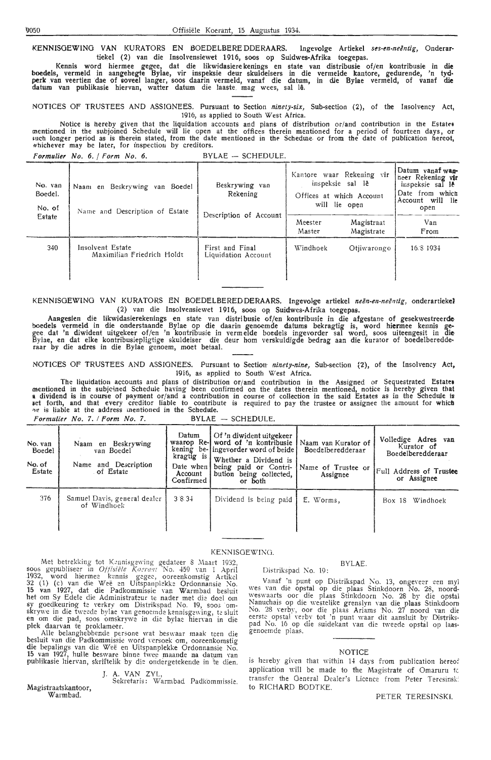KENNISGEWING VAN KURATORS EN BOEDELBERE DDERAARS. Ingevolge Artiekel ses-en-neëntig, Onderartiekel (2) van die Insolvensiewet 1916, soos op Suidwes-Afrika toegepas.

Kennis word hiermee gegee, dat die likwidasiere kenings en state van distribusie of/en kontribusie in **die**  boedels, vermeld in aangehegte Bylae, vir inspeksie deur skuldeisers in die vermelde kantore, gedurende, 'n tyd• **perk** van veertien dae of soveel !anger, soos daarin vermeld, vanaf die datum, in die Bylae vermeld, of vanaf **die**  datum van publikasie hiervan, watter datum die laaste. mag wees, sal le.

NOTICES OF TRUSTEES AND ASSIGNEES. Pursuant to Section *ninety-six,* Sub-section (2), of the lasolvency Act, 1916, as applied to South West Africa.

Notice is hereby given that the liquidation accounts and pians of distribution or/and contribution in the Estates mentioned in the subjoined Schedule will lie open at the offices therein mentioned for a period of fourteen days, or<br>\*¤ch longer period as is therein stated, from the date mentioned in the Schedure or from the date of publ whichever may be later, for inspection by creditors.

| Formulier No. 6.   Form No. 6. |  |  |  |  |  |  | $BYLAE - SCHEDULE.$ |
|--------------------------------|--|--|--|--|--|--|---------------------|
|--------------------------------|--|--|--|--|--|--|---------------------|

| No. van<br>Boedel.<br>No. of | Naam en Beskrywing van Boedel<br>Name and Description of Estate | Beskrywing van<br>Rekening<br>Description of Account | Kantore waar Rekening vir<br>inspeksie sal lê<br>Offices at which Account<br>will lie open |                          | Datum vanaf wan-<br>neer Rekening vir<br>inspeksie sal le<br>Date from which<br>Account will lie<br>open |
|------------------------------|-----------------------------------------------------------------|------------------------------------------------------|--------------------------------------------------------------------------------------------|--------------------------|----------------------------------------------------------------------------------------------------------|
| Estate                       |                                                                 |                                                      | Meester<br>Master                                                                          | Magistraat<br>Magistrate | Van<br>From                                                                                              |
| 340                          | Insolvent Estate<br>Maximilian Friedrich Holdt                  | First and Final<br>Liquidation Account               | Windhoek                                                                                   | Otjiwarongo              | 16.8.1934                                                                                                |

KENNISOEWING VAN KURATORS EN BOEDELBEREDDERAARS. Ingevolge artiekel *neen-en-neenug,* onderartiekel (2) van die Insolvensiewet 1916, soos op Suidwes-Afrika toegepas.

Aangesien die likwidasierekenings en state van distribusie of/en kontribusie in die afgestane of gesekwestreerde boedels vermeld in die onderstaande Bylae op die daarin genoemde datums bekragtig is, word hiermee kennis ge-<br>gee dat 'n diwident uitgekeer of/en 'n kontribusie in vermelde boedels ingevorder sal word, soos uiteengesit in Bylae, en dat elke kontribusiepligtige skuldeiser die deur hom verskuldigde bedrag aan die kurator of boedelberedde-<br>raar by die adres in die Bylae genoem, moet betaal.

NOTICES OF TRUSTEES AND ASSIGNEES. Pursuant to Section· *nineiy-nine,* Sub-section {2), of the Insolvency Act, 19i6, as applied to South West Africa.

The liquidation accounts and plans of distribution or/ and contribution in the Assigned or Sequestrated Estates mentioned in the subjcined Schedule having been confirmed on the dates therein mentioned, notice is hereby given that a dividend is in course of payment or/and a contribution in course of collection in the said Estates as in the Schedule is<br>set forth, and that every creditor liable to contribute is required to pay the trustee or assignee ae is liable at the address mentioned in the Schedule. *Formulier No. 7. / Form No. 7.* BYLAE - SCHEDULE.

| No. van<br><b>Boedel</b><br>No. of<br>Estate | Naam en Beskrywing<br>van Boedel<br>Name and Description<br>of Estate | Datum<br>kragtig is<br>Date when I<br>Account<br>Confirmed | Of 'n diwident uitgekeer<br>waarop Re-j word of 'n kontribusie<br>kening be-lingevorder word of beide<br>Whether a Dividend is<br>being paid or Contri-<br>bution being collected,<br>or both | Naam van Kurator of<br>Boedelberedderaar<br>Name of Trustee or<br>Assignee | Volledige Adres van<br>Kurator of<br>Boedelberedderaar<br>Full Address of Trustee<br>or Assignee |
|----------------------------------------------|-----------------------------------------------------------------------|------------------------------------------------------------|-----------------------------------------------------------------------------------------------------------------------------------------------------------------------------------------------|----------------------------------------------------------------------------|--------------------------------------------------------------------------------------------------|
| 376                                          | Samuel Davis, general dealer<br>of Windhoek                           | 3834                                                       | Dividend is being paid                                                                                                                                                                        | E. Worms,                                                                  | Windhoek<br>Box 18                                                                               |

#### KENNISGEWING.

Met betrekking tot Kennisgewing gedateer S Maart 1932, soos gepubliseer in *Offisiële Koerant* No. 459 van 1 April 1932, word hiermee kennis gegee, ooreenkomstig Artikel 32 (1) (c) van die Weë en Uitspanplekke Ordonnansie No. 15 van 1927, dat die Padkommissie van Warmbad besluit het om Sy Edele die Administrateur te nader met die doel om sy goedkeuring te verkry om Distrikspad No. 19, soos om-<br>skrywe in die tweede bylae van genoemde kennisgewing, te sluit en om die pad, soos omskrywe in die bylae hiervan in die plek daarvan te proklameer.

Alle belanghebbende persone wat beswaar maak teen die besluit van die Padkommissie word versoek om, ooreenkomstig die bepalings van die Weë en Uitspanplekke Ordonnansie No. 15 van 1927, hulle besware binne twee maande na datum van publikasie hiervan, skriftelik by die ondergetekende in te dien.

#### J. A. VAN ZYL,

Magistraatskantoor, Warmbad. Sekretaris: Warmbad Padkommissie.

#### BYLAE.

Distrikspad No. 19:

Vanaf 'n punt op Distrikspad No. 13, ongeveer een myl \\'es Yan die opstal op die plaas Stinkdoorn No. 28, noord- \\'eSll'aarts oor die plaas Stinkdoorn No. 28 bv die opstal Nanuchais op die westelike grenslyn van die plaas Stinkdoorn No. 28 verby, oor die plaas Ariams No. 27 noord van die eerste opstal verby tot 'n punt waar dit aansluit by Distrikspad No. 16 op die suidekant van die tweede opstal op laasgenoemde plaas.

#### **NOTICE**

is hereby given that within 14 days from publication hereof application will be made to the Magistrate of Omaruru tc transfer the General Dealer's Licence from Peter Teresinsk' to RICHARD BODTKE.

#### PETER TERESINSKI.